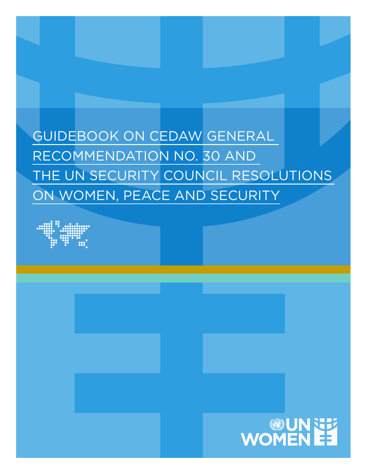GUIDEBOOK ON CEDAW GENERAL RECOMMENDATION NO. 30 AND THE UN SECURITY COUNCIL RESOLUTIONS ON WOMEN, PEACE AND SECURITY



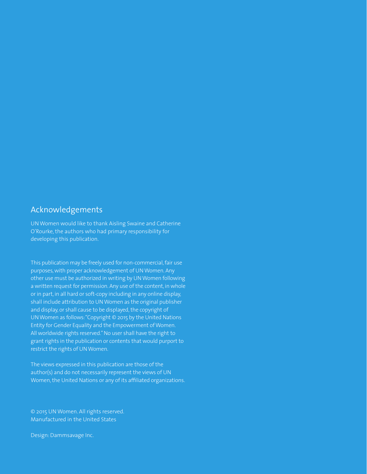## Acknowledgements

UN Women would like to thank Aisling Swaine and Catherine O'Rourke, the authors who had primary responsibility for developing this publication.

This publication may be freely used for non-commercial, fair use purposes, with proper acknowledgement of UN Women. Any other use must be authorized in writing by UN Women following a written request for permission. Any use of the content, in whole or in part, in all hard or soft-copy including in any online display, shall include attribution to UN Women as the original publisher and display, or shall cause to be displayed, the copyright of UN Women as follows: "Copyright © 2015 by the United Nations Entity for Gender Equality and the Empowerment of Women. All worldwide rights reserved." No user shall have the right to grant rights in the publication or contents that would purport to restrict the rights of UN Women.

The views expressed in this publication are those of the author(s) and do not necessarily represent the views of UN Women, the United Nations or any of its affiliated organizations.

© 2015 UN Women. All rights reserved. Manufactured in the United States

Design: Dammsavage Inc.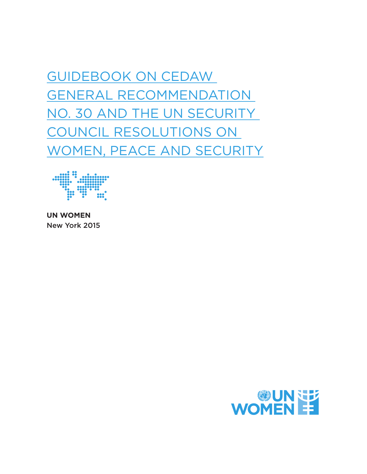GUIDEBOOK ON CEDAW GENERAL RECOMMENDATION NO. 30 AND THE UN SECURITY COUNCIL RESOLUTIONS ON WOMEN, PEACE AND SECURITY



**UN WOMEN** New York 2015

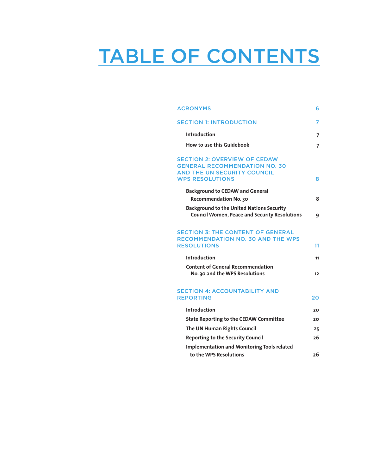# TABLE OF CONTENTS

| <b>ACRONYMS</b>                                       |    |
|-------------------------------------------------------|----|
| <b>SECTION 1: INTRODUCTION</b>                        | 7  |
| Introduction                                          | 7  |
| <b>How to use this Guidebook</b>                      |    |
| <b>SECTION 2: OVERVIEW OF CEDAW</b>                   |    |
| <b>GENERAL RECOMMENDATION NO. 30</b>                  |    |
| AND THE UN SECURITY COUNCIL<br><b>WPS RESOLUTIONS</b> |    |
|                                                       | 8  |
| <b>Background to CEDAW and General</b>                |    |
| Recommendation No. 30                                 | 8  |
| <b>Background to the United Nations Security</b>      |    |
| <b>Council Women, Peace and Security Resolutions</b>  | 9  |
| <b>SECTION 3: THE CONTENT OF GENERAL</b>              |    |
| <b>RECOMMENDATION NO. 30 AND THE WPS</b>              |    |
| <b>RESOLUTIONS</b>                                    | 11 |
| <b>Introduction</b>                                   | 11 |
| <b>Content of General Recommendation</b>              |    |
| No. 30 and the WPS Resolutions                        | 12 |
| <b>SECTION 4: ACCOUNTABILITY AND</b>                  |    |
| <b>REPORTING</b>                                      | 20 |
| Introduction                                          | 20 |
| <b>State Reporting to the CEDAW Committee</b>         | 20 |
| The UN Human Rights Council                           | 25 |
| <b>Reporting to the Security Council</b>              | 26 |
| <b>Implementation and Monitoring Tools related</b>    |    |
| to the WPS Resolutions                                | 26 |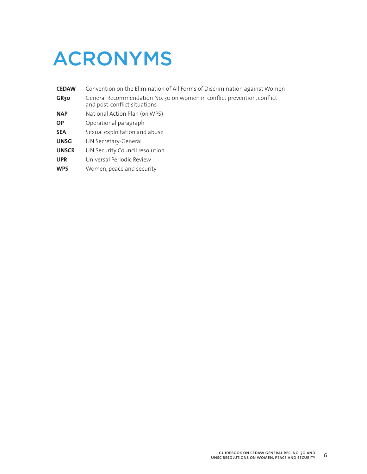## ACRONYMS

| <b>CEDAW</b>     | Convention on the Elimination of All Forms of Discrimination against Women                              |
|------------------|---------------------------------------------------------------------------------------------------------|
| GR <sub>30</sub> | General Recommendation No. 30 on women in conflict prevention, conflict<br>and post-conflict situations |
| <b>NAP</b>       | National Action Plan (on WPS)                                                                           |
| <b>OP</b>        | Operational paragraph                                                                                   |
| <b>SEA</b>       | Sexual exploitation and abuse                                                                           |
| <b>UNSG</b>      | UN Secretary-General                                                                                    |
| <b>UNSCR</b>     | UN Security Council resolution                                                                          |
| <b>UPR</b>       | Universal Periodic Review                                                                               |
| <b>WPS</b>       | Women, peace and security                                                                               |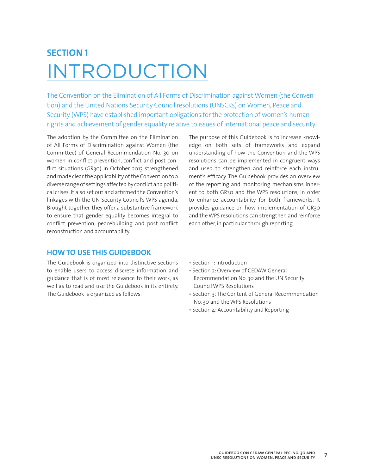## **SECTION 1** INTRODUCTION

The Convention on the Elimination of All Forms of Discrimination against Women (the Convention) and the United Nations Security Council resolutions (UNSCRs) on Women, Peace and Security (WPS) have established important obligations for the protection of women's human rights and achievement of gender equality relative to issues of international peace and security.

The adoption by the Committee on the Elimination of All Forms of Discrimination against Women (the Committee) of General Recommendation No. 30 on women in conflict prevention, conflict and post-conflict situations (GR30) in October 2013 strengthened and made clear the applicability of the Convention to a diverse range of settings affected by conflict and political crises. It also set out and affirmed the Convention's linkages with the UN Security Council's WPS agenda. Brought together, they offer a substantive framework to ensure that gender equality becomes integral to conflict prevention, peacebuilding and post-conflict reconstruction and accountability.

## **HOW TO USE THIS GUIDEBOOK**

The Guidebook is organized into distinctive sections to enable users to access discrete information and guidance that is of most relevance to their work, as well as to read and use the Guidebook in its entirety. The Guidebook is organized as follows:

The purpose of this Guidebook is to increase knowledge on both sets of frameworks and expand understanding of how the Convention and the WPS resolutions can be implemented in congruent ways and used to strengthen and reinforce each instrument's efficacy. The Guidebook provides an overview of the reporting and monitoring mechanisms inherent to both GR30 and the WPS resolutions, in order to enhance accountability for both frameworks. It provides guidance on how implementation of GR30 and the WPS resolutions can strengthen and reinforce each other, in particular through reporting.

- Section 1: Introduction
- Section 2: Overview of CEDAW General Recommendation No. 30 and the UN Security Council WPS Resolutions
- Section 3: The Content of General Recommendation No. 30 and the WPS Resolutions
- Section 4: Accountability and Reporting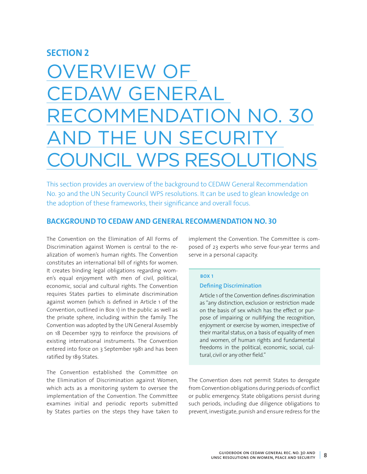## **SECTION 2**

## VERVIEW OF CEDAW GENERAL ECOMMENDATION NO. 30 **ND THE UN SECURITY UNCIL WPS RESOLUTIONS**

This section provides an overview of the background to CEDAW General Recommendation No. 30 and the UN Security Council WPS resolutions. It can be used to glean knowledge on the adoption of these frameworks, their significance and overall focus.

## **BACKGROUND TO CEDAW AND GENERAL RECOMMENDATION NO. 30**

The Convention on the Elimination of All Forms of Discrimination against Women is central to the realization of women's human rights. The Convention constitutes an international bill of rights for women. It creates binding legal obligations regarding women's equal enjoyment with men of civil, political, economic, social and cultural rights. The Convention requires States parties to eliminate discrimination against women (which is defined in Article 1 of the Convention, outlined in Box 1) in the public as well as the private sphere, including within the family. The Convention was adopted by the UN General Assembly on 18 December 1979 to reinforce the provisions of existing international instruments. The Convention entered into force on 3 September 1981 and has been ratified by 189 States.

The Convention established the Committee on the Elimination of Discrimination against Women, which acts as a monitoring system to oversee the implementation of the Convention. The Committee examines initial and periodic reports submitted by States parties on the steps they have taken to

implement the Convention. The Committee is composed of 23 experts who serve four-year terms and serve in a personal capacity.

## **BOX 1 Defining Discrimination**

Article 1 of the Convention defines discrimination as "any distinction, exclusion or restriction made on the basis of sex which has the effect or purpose of impairing or nullifying the recognition, enjoyment or exercise by women, irrespective of their marital status, on a basis of equality of men and women, of human rights and fundamental freedoms in the political, economic, social, cultural, civil or any other field."

The Convention does not permit States to derogate from Convention obligations during periods of conflict or public emergency. State obligations persist during such periods, including due diligence obligations to prevent, investigate, punish and ensure redress for the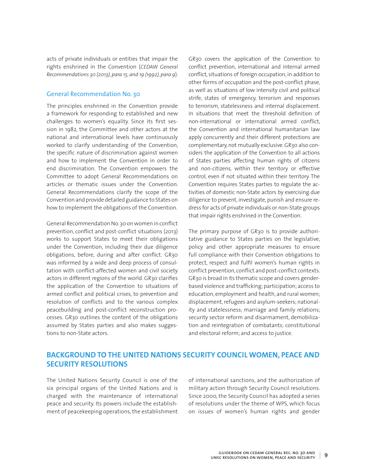acts of private individuals or entities that impair the rights enshrined in the Convention (*CEDAW General Recommendations 30 (2013), para 15, and 19 (1992), para 9*).

## General Recommendation No. 30

The principles enshrined in the Convention provide a framework for responding to established and new challenges to women's equality. Since its first session in 1982, the Committee and other actors at the national and international levels have continuously worked to clarify understanding of the Convention, the specific nature of discrimination against women and how to implement the Convention in order to end discrimination. The Convention empowers the Committee to adopt General Recommendations on articles or thematic issues under the Convention. General Recommendations clarify the scope of the Convention and provide detailed guidance to States on how to implement the obligations of the Convention.

General Recommendation No. 30 on women in conflict prevention, conflict and post-conflict situations (2013) works to support States to meet their obligations under the Convention, including their due diligence obligations, before, during and after conflict. GR30 was informed by a wide and deep process of consultation with conflict-affected women and civil society actors in different regions of the world. GR30 clarifies the application of the Convention to situations of armed conflict and political crises, to prevention and resolution of conflicts and to the various complex peacebuilding and post-conflict reconstruction processes. GR30 outlines the content of the obligations assumed by States parties and also makes suggestions to non-State actors.

GR30 covers the application of the Convention to conflict prevention, international and internal armed conflict, situations of foreign occupation, in addition to other forms of occupation and the post-conflict phase, as well as situations of low intensity civil and political strife, states of emergency, terrorism and responses to terrorism, statelessness and internal displacement. In situations that meet the threshold definition of non-international or international armed conflict, the Convention and international humanitarian law apply concurrently and their different protections are complementary, not mutually exclusive. GR30 also considers the application of the Convention to all actions of States parties affecting human rights of citizens and non-citizens, within their territory or effective control, even if not situated within their territory. The Convention requires States parties to regulate the activities of domestic non-State actors by exercising due diligence to prevent, investigate, punish and ensure redress for acts of private individuals or non-State groups that impair rights enshrined in the Convention.

The primary purpose of GR30 is to provide authoritative guidance to States parties on the legislative, policy and other appropriate measures to ensure full compliance with their Convention obligations to protect, respect and fulfil women's human rights in conflict prevention, conflict and post-conflict contexts. GR30 is broad in its thematic scope and covers genderbased violence and trafficking; participation; access to education, employment and health, and rural women; displacement, refugees and asylum-seekers; nationality and statelessness; marriage and family relations; security sector reform and disarmament, demobilization and reintegration of combatants; constitutional and electoral reform; and access to justice.

## **BACKGROUND TO THE UNITED NATIONS SECURITY COUNCIL WOMEN, PEACE AND SECURITY RESOLUTIONS**

The United Nations Security Council is one of the six principal organs of the United Nations and is charged with the maintenance of international peace and security. Its powers include the establishment of peacekeeping operations, the establishment

of international sanctions, and the authorization of military action through Security Council resolutions. Since 2000, the Security Council has adopted a series of resolutions under the theme of WPS, which focus on issues of women's human rights and gender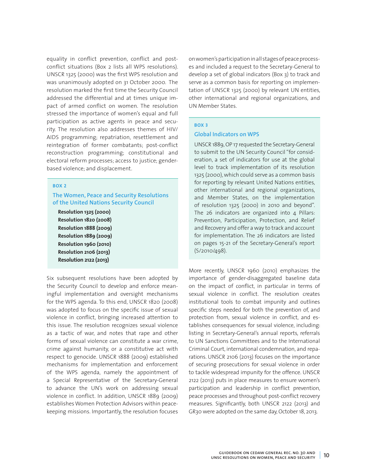equality in conflict prevention, conflict and postconflict situations (Box 2 lists all WPS resolutions). UNSCR 1325 (2000) was the first WPS resolution and was unanimously adopted on 31 October 2000. The resolution marked the first time the Security Council addressed the differential and at times unique impact of armed conflict on women. The resolution stressed the importance of women's equal and full participation as active agents in peace and security. The resolution also addresses themes of HIV/ AIDS programming; repatriation, resettlement and reintegration of former combatants; post-conflict reconstruction programming; constitutional and electoral reform processes; access to justice; genderbased violence; and displacement.

#### **BOX 2**

## **The Women, Peace and Security Resolutions of the United Nations Security Council**

**Resolution 1325 (2000) Resolution 1820 (2008) Resolution 1888 (2009) Resolution 1889 (2009) Resolution 1960 (2010) Resolution 2106 (2013) Resolution 2122 (2013)**

Six subsequent resolutions have been adopted by the Security Council to develop and enforce meaningful implementation and oversight mechanisms for the WPS agenda. To this end, UNSCR 1820 (2008) was adopted to focus on the specific issue of sexual violence in conflict, bringing increased attention to this issue. The resolution recognizes sexual violence as a tactic of war, and notes that rape and other forms of sexual violence can constitute a war crime, crime against humanity, or a constitutive act with respect to genocide. UNSCR 1888 (2009) established mechanisms for implementation and enforcement of the WPS agenda, namely the appointment of a Special Representative of the Secretary-General to advance the UN's work on addressing sexual violence in conflict. In addition, UNSCR 1889 (2009) establishes Women Protection Advisors within peacekeeping missions. Importantly, the resolution focuses on women's participation in all stages of peace processes and included a request to the Secretary-General to develop a set of global indicators (Box 3) to track and serve as a common basis for reporting on implementation of UNSCR 1325 (2000) by relevant UN entities, other international and regional organizations, and UN Member States.

## **BOX 3**

#### **Global Indicators on WPS**

UNSCR 1889, OP 17 requested the Secretary-General to submit to the UN Security Council "for consideration, a set of indicators for use at the global level to track implementation of its resolution 1325 (2000), which could serve as a common basis for reporting by relevant United Nations entities, other international and regional organizations, and Member States, on the implementation of resolution 1325 (2000) in 2010 and beyond". The 26 indicators are organized into  $4$  Pillars: Prevention, Participation, Protection, and Relief and Recovery and offer a way to track and account for implementation. The 26 indicators are listed on pages 15-21 of the Secretary-General's report (S/2010/498).

More recently, UNSCR 1960 (2010) emphasizes the importance of gender-disaggregated baseline data on the impact of conflict, in particular in terms of sexual violence in conflict. The resolution creates institutional tools to combat impunity and outlines specific steps needed for both the prevention of, and protection from, sexual violence in conflict, and establishes consequences for sexual violence, including: listing in Secretary-General's annual reports, referrals to UN Sanctions Committees and to the International Criminal Court, international condemnation, and reparations. UNSCR 2106 (2013) focuses on the importance of securing prosecutions for sexual violence in order to tackle widespread impunity for the offence. UNSCR 2122 (2013) puts in place measures to ensure women's participation and leadership in conflict prevention, peace processes and throughout post-conflict recovery measures. Significantly, both UNSCR 2122 (2013) and GR30 were adopted on the same day, October 18, 2013.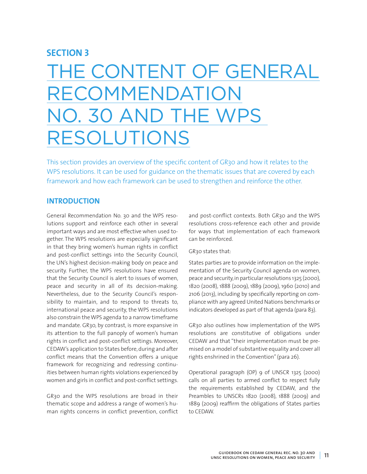## **SECTION 3**

## THE CONTENT OF GENERAL RECOMMENDATION NO. 30 AND THE WPS RESOLUTIONS

This section provides an overview of the specific content of GR30 and how it relates to the WPS resolutions. It can be used for guidance on the thematic issues that are covered by each framework and how each framework can be used to strengthen and reinforce the other.

## **INTRODUCTION**

General Recommendation No. 30 and the WPS resolutions support and reinforce each other in several important ways and are most effective when used together. The WPS resolutions are especially significant in that they bring women's human rights in conflict and post-conflict settings into the Security Council, the UN's highest decision-making body on peace and security. Further, the WPS resolutions have ensured that the Security Council is alert to issues of women, peace and security in all of its decision-making. Nevertheless, due to the Security Council's responsibility to maintain, and to respond to threats to, international peace and security, the WPS resolutions also constrain the WPS agenda to a narrow timeframe and mandate. GR30, by contrast, is more expansive in its attention to the full panoply of women's human rights in conflict and post-conflict settings. Moreover, CEDAW's application to States before, during and after conflict means that the Convention offers a unique framework for recognizing and redressing continuities between human rights violations experienced by women and girls in conflict and post-conflict settings.

GR30 and the WPS resolutions are broad in their thematic scope and address a range of women's human rights concerns in conflict prevention, conflict

and post-conflict contexts. Both GR30 and the WPS resolutions cross-reference each other and provide for ways that implementation of each framework can be reinforced.

## GR30 states that:

States parties are to provide information on the implementation of the Security Council agenda on women, peace and security, in particular resolutions 1325 (2000), 1820 (2008), 1888 (2009), 1889 (2009), 1960 (2010) and 2106 (2013), including by specifically reporting on compliance with any agreed United Nations benchmarks or indicators developed as part of that agenda (para 83).

GR30 also outlines how implementation of the WPS resolutions are constitutive of obligations under CEDAW and that "their implementation must be premised on a model of substantive equality and cover all rights enshrined in the Convention" (para 26).

Operational paragraph (OP) 9 of UNSCR 1325 (2000) calls on all parties to armed conflict to respect fully the requirements established by CEDAW, and the Preambles to UNSCRs 1820 (2008), 1888 (2009) and 1889 (2009) reaffirm the obligations of States parties to CEDAW.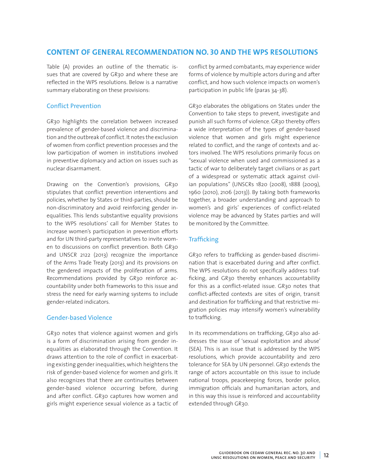## **CONTENT OF GENERAL RECOMMENDATION NO. 30 AND THE WPS RESOLUTIONS**

Table (A) provides an outline of the thematic issues that are covered by GR30 and where these are reflected in the WPS resolutions. Below is a narrative summary elaborating on these provisions:

## Conflict Prevention

GR30 highlights the correlation between increased prevalence of gender-based violence and discrimination and the outbreak of conflict. It notes the exclusion of women from conflict prevention processes and the low participation of women in institutions involved in preventive diplomacy and action on issues such as nuclear disarmament.

Drawing on the Convention's provisions, GR30 stipulates that conflict prevention interventions and policies, whether by States or third-parties, should be non-discriminatory and avoid reinforcing gender inequalities. This lends substantive equality provisions to the WPS resolutions' call for Member States to increase women's participation in prevention efforts and for UN third-party representatives to invite women to discussions on conflict prevention. Both GR30 and UNSCR 2122 (2013) recognize the importance of the Arms Trade Treaty (2013) and its provisions on the gendered impacts of the proliferation of arms. Recommendations provided by GR30 reinforce accountability under both frameworks to this issue and stress the need for early warning systems to include gender-related indicators.

## Gender-based Violence

GR30 notes that violence against women and girls is a form of discrimination arising from gender inequalities as elaborated through the Convention. It draws attention to the role of conflict in exacerbating existing gender inequalities, which heightens the risk of gender-based violence for women and girls. It also recognizes that there are continuities between gender-based violence occurring before, during and after conflict. GR30 captures how women and girls might experience sexual violence as a tactic of conflict by armed combatants, may experience wider forms of violence by multiple actors during and after conflict, and how such violence impacts on women's participation in public life (paras 34-38).

GR30 elaborates the obligations on States under the Convention to take steps to prevent, investigate and punish all such forms of violence. GR30 thereby offers a wide interpretation of the types of gender-based violence that women and girls might experience related to conflict, and the range of contexts and actors involved. The WPS resolutions primarily focus on "sexual violence when used and commissioned as a tactic of war to deliberately target civilians or as part of a widespread or systematic attack against civilian populations" (UNSCRs 1820 (2008), 1888 (2009), 1960 (2010), 2106 (2013)). By taking both frameworks together, a broader understanding and approach to women's and girls' experiences of conflict-related violence may be advanced by States parties and will be monitored by the Committee.

## **Trafficking**

GR30 refers to trafficking as gender-based discrimination that is exacerbated during and after conflict. The WPS resolutions do not specifically address trafficking, and GR30 thereby enhances accountability for this as a conflict-related issue. GR30 notes that conflict-affected contexts are sites of origin, transit and destination for trafficking and that restrictive migration policies may intensify women's vulnerability to trafficking.

In its recommendations on trafficking, GR30 also addresses the issue of 'sexual exploitation and abuse' (SEA). This is an issue that is addressed by the WPS resolutions, which provide accountability and zero tolerance for SEA by UN personnel. GR30 extends the range of actors accountable on this issue to include national troops, peacekeeping forces, border police, immigration officials and humanitarian actors, and in this way this issue is reinforced and accountability extended through GR30.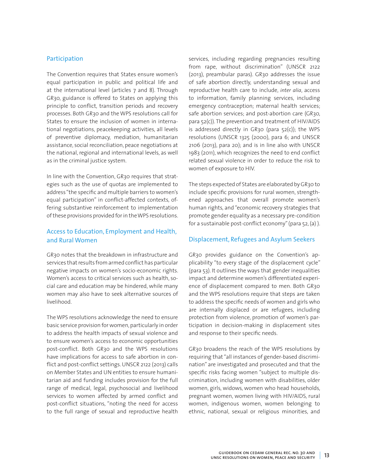## Participation

The Convention requires that States ensure women's equal participation in public and political life and at the international level (articles 7 and 8). Through GR30, guidance is offered to States on applying this principle to conflict, transition periods and recovery processes. Both GR30 and the WPS resolutions call for States to ensure the inclusion of women in international negotiations, peacekeeping activities, all levels of preventive diplomacy, mediation, humanitarian assistance, social reconciliation, peace negotiations at the national, regional and international levels, as well as in the criminal justice system.

In line with the Convention, GR30 requires that strategies such as the use of quotas are implemented to address "the specific and multiple barriers to women's equal participation" in conflict-affected contexts, offering substantive reinforcement to implementation of these provisions provided for in the WPS resolutions.

## Access to Education, Employment and Health, and Rural Women

GR30 notes that the breakdown in infrastructure and services that results from armed conflict has particular negative impacts on women's socio-economic rights. Women's access to critical services such as health, social care and education may be hindered, while many women may also have to seek alternative sources of livelihood.

The WPS resolutions acknowledge the need to ensure basic service provision for women, particularly in order to address the health impacts of sexual violence and to ensure women's access to economic opportunities post-conflict. Both GR30 and the WPS resolutions have implications for access to safe abortion in conflict and post-conflict settings. UNSCR 2122 (2013) calls on Member States and UN entities to ensure humanitarian aid and funding includes provision for the full range of medical, legal, psychosocial and livelihood services to women affected by armed conflict and post-conflict situations, "noting the need for access to the full range of sexual and reproductive health

services, including regarding pregnancies resulting from rape, without discrimination" (UNSCR 2122 (2013), preambular paras). GR30 addresses the issue of safe abortion directly, understanding sexual and reproductive health care to include, *inter alia*, access to information, family planning services, including emergency contraception; maternal health services; safe abortion services; and post-abortion care (GR30, para 52(c)). The prevention and treatment of HIV/AIDS is addressed directly in GR30 (para  $52(c)$ ); the WPS resolutions (UNSCR 1325 (2000), para 6; and UNSCR 2106 (2013), para 20); and is in line also with UNSCR 1983 (2011), which recognizes the need to end conflict related sexual violence in order to reduce the risk to women of exposure to HIV.

The steps expected of States are elaborated by GR30 to include specific provisions for rural women, strengthened approaches that overall promote women's human rights, and "economic recovery strategies that promote gender equality as a necessary pre-condition for a sustainable post-conflict economy" (para 52, (a) ).

### Displacement, Refugees and Asylum Seekers

GR30 provides guidance on the Convention's applicability "to every stage of the displacement cycle" (para 53). It outlines the ways that gender inequalities impact and determine women's differentiated experience of displacement compared to men. Both GR30 and the WPS resolutions require that steps are taken to address the specific needs of women and girls who are internally displaced or are refugees, including protection from violence, promotion of women's participation in decision-making in displacement sites and response to their specific needs.

GR30 broadens the reach of the WPS resolutions by requiring that "all instances of gender-based discrimination" are investigated and prosecuted and that the specific risks facing women "subject to multiple discrimination, including women with disabilities, older women, girls, widows, women who head households, pregnant women, women living with HIV/AIDS, rural women, indigenous women, women belonging to ethnic, national, sexual or religious minorities, and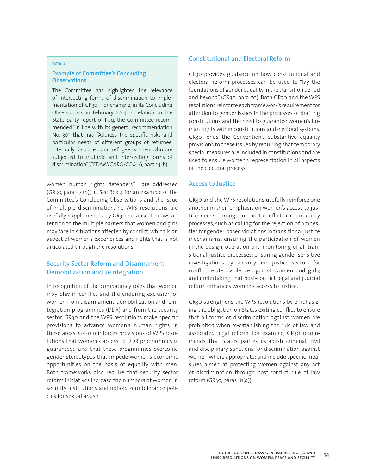#### **BOX 4**

## **Example of Committee's Concluding Observations**

The Committee has highlighted the relevance of intersecting forms of discrimination to implementation of GR30. For example, in its Concluding Observations in February 2014 in relation to the State party report of Iraq, the Committee recommended "in line with its general recommendation No. 30" that Iraq "Address the specific risks and particular needs of different groups of returnee, internally displaced and refugee women who are subjected to multiple and intersecting forms of discrimination"(CEDAW/C/IRQ/CO/4-6, para 14, b).

women human rights defenders" are addressed  $(GR30, para 57 (b)(f)).$  See Box 4 for an example of the Committee's Concluding Observations and the issue of multiple discrimination.The WPS resolutions are usefully supplemented by GR30 because it draws attention to the multiple barriers that women and girls may face in situations affected by conflict, which is an aspect of women's experiences and rights that is not articulated through the resolutions.

## Security Sector Reform and Disarmament, Demobilization and Reintegration

In recognition of the combatancy roles that women may play in conflict and the enduring exclusion of women from disarmament, demobilization and reintegration programmes (DDR) and from the security sector, GR30 and the WPS resolutions make specific provisions to advance women's human rights in these areas. GR30 reinforces provisions of WPS resolutions that women's access to DDR programmes is guaranteed and that these programmes overcome gender stereotypes that impede women's economic opportunities on the basis of equality with men. Both frameworks also require that security sector reform initiatives increase the numbers of women in security institutions and uphold zero tolerance policies for sexual abuse.

## Constitutional and Electoral Reform

GR30 provides guidance on how constitutional and electoral reform processes can be used to "lay the foundations of gender equality in the transition period and beyond" (GR30, para 70). Both GR30 and the WPS resolutions reinforce each framework's requirement for attention to gender issues in the processes of drafting constitutions and the need to guarantee women's human rights within constitutions and electoral systems. GR30 lends the Convention's substantive equality provisions to these issues by requiring that temporary special measures are included in constitutions and are used to ensure women's representation in all aspects of the electoral process.

### Access to Justice

GR30 and the WPS resolutions usefully reinforce one another in their emphasis on women's access to justice needs throughout post-conflict accountability processes, such as calling for the rejection of amnesties for gender-based violations in transitional justice mechanisms; ensuring the participation of women in the design, operation and monitoring of all transitional justice processes; ensuring gender-sensitive investigations by security and justice sectors for conflict-related violence against women and girls; and undertaking that post-conflict legal and judicial reform enhances women's access to justice.

GR30 strengthens the WPS resolutions by emphasizing the obligation on States exiting conflict to ensure that all forms of discrimination against women are prohibited when re-establishing the rule of law and associated legal reform. For example, GR30 recommends that States parties establish criminal, civil and disciplinary sanctions for discrimination against women where appropriate; and include specific measures aimed at protecting women against any act of discrimination through post-conflict rule of law reform (GR30, paras 81(d)).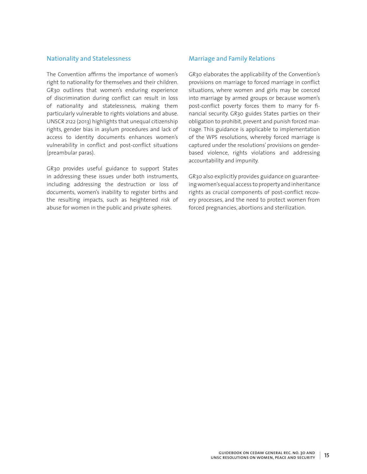## Nationality and Statelessness

The Convention affirms the importance of women's right to nationality for themselves and their children. GR30 outlines that women's enduring experience of discrimination during conflict can result in loss of nationality and statelessness, making them particularly vulnerable to rights violations and abuse. UNSCR 2122 (2013) highlights that unequal citizenship rights, gender bias in asylum procedures and lack of access to identity documents enhances women's vulnerability in conflict and post-conflict situations (preambular paras).

GR30 provides useful guidance to support States in addressing these issues under both instruments, including addressing the destruction or loss of documents, women's inability to register births and the resulting impacts, such as heightened risk of abuse for women in the public and private spheres.

## Marriage and Family Relations

GR30 elaborates the applicability of the Convention's provisions on marriage to forced marriage in conflict situations, where women and girls may be coerced into marriage by armed groups or because women's post-conflict poverty forces them to marry for financial security. GR30 guides States parties on their obligation to prohibit, prevent and punish forced marriage. This guidance is applicable to implementation of the WPS resolutions, whereby forced marriage is captured under the resolutions' provisions on genderbased violence, rights violations and addressing accountability and impunity.

GR30 also explicitly provides guidance on guaranteeing women's equal access to property and inheritance rights as crucial components of post-conflict recovery processes, and the need to protect women from forced pregnancies, abortions and sterilization.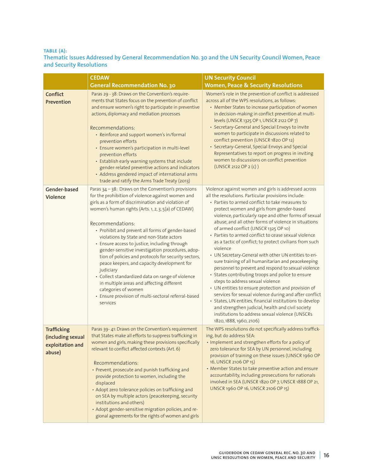## **TABLE (A):**

## **Thematic Issues Addressed by General Recommendation No. 30 and the UN Security Council Women, Peace and Security Resolutions**

|                                                                       | <b>CEDAW</b>                                                                                                                                                                                                                                                                                                                                                                                                                                                                                                                                                                                                                                                                                                                                                  | <b>UN Security Council</b>                                                                                                                                                                                                                                                                                                                                                                                                                                                                                                                                                                                                                                                                                                                                                                                                                                                                                                                                                                                                                                                        |
|-----------------------------------------------------------------------|---------------------------------------------------------------------------------------------------------------------------------------------------------------------------------------------------------------------------------------------------------------------------------------------------------------------------------------------------------------------------------------------------------------------------------------------------------------------------------------------------------------------------------------------------------------------------------------------------------------------------------------------------------------------------------------------------------------------------------------------------------------|-----------------------------------------------------------------------------------------------------------------------------------------------------------------------------------------------------------------------------------------------------------------------------------------------------------------------------------------------------------------------------------------------------------------------------------------------------------------------------------------------------------------------------------------------------------------------------------------------------------------------------------------------------------------------------------------------------------------------------------------------------------------------------------------------------------------------------------------------------------------------------------------------------------------------------------------------------------------------------------------------------------------------------------------------------------------------------------|
|                                                                       | <b>General Recommendation No. 30</b>                                                                                                                                                                                                                                                                                                                                                                                                                                                                                                                                                                                                                                                                                                                          | <b>Women, Peace &amp; Security Resolutions</b>                                                                                                                                                                                                                                                                                                                                                                                                                                                                                                                                                                                                                                                                                                                                                                                                                                                                                                                                                                                                                                    |
| Conflict<br>Prevention                                                | Paras 29 - 38: Draws on the Convention's require-<br>ments that States focus on the prevention of conflict<br>and ensure women's right to participate in preventive<br>actions, diplomacy and mediation processes<br>Recommendations:<br>• Reinforce and support women's in/formal<br>prevention efforts<br>· Ensure women's participation in multi-level<br>prevention efforts<br>• Establish early warning systems that include<br>gender-related preventive actions and indicators<br>• Address gendered impact of international arms<br>trade and ratify the Arms Trade Treaty (2013)                                                                                                                                                                     | Women's role in the prevention of conflict is addressed<br>across all of the WPS resolutions, as follows:<br>• Member States to increase participation of women<br>in decision-making in conflict prevention at multi-<br>levels (UNSCR 1325 OP 1, UNSCR 2122 OP 7)<br>• Secretary-General and Special Envoys to invite<br>women to participate in discussions related to<br>conflict prevention (UNSCR 1820 OP 12)<br>• Secretary-General, Special Envoys and Special<br>Representatives to report on progress in inviting<br>women to discussions on conflict prevention<br>(UNSCR 2122 OP 2 (c))                                                                                                                                                                                                                                                                                                                                                                                                                                                                               |
| Gender-based<br>Violence                                              | Paras 34 - 38: Draws on the Convention's provisions<br>for the prohibition of violence against women and<br>girls as a form of discrimination and violation of<br>women's human rights (Arts. 1, 2, 3, 5(a) of CEDAW)<br>Recommendations:<br>• Prohibit and prevent all forms of gender-based<br>violations by State and non-State actors<br>• Ensure access to justice, including through<br>gender-sensitive investigation procedures, adop-<br>tion of policies and protocols for security sectors,<br>peace keepers, and capacity development for<br>judiciary<br>• Collect standardized data on range of violence<br>in multiple areas and affecting different<br>categories of women<br>• Ensure provision of multi-sectoral referral-based<br>services | Violence against women and girls is addressed across<br>all the resolutions. Particular provisions include:<br>• Parties to armed conflict to take measures to<br>protect women and girls from gender-based<br>violence, particularly rape and other forms of sexual<br>abuse, and all other forms of violence in situations<br>of armed conflict (UNSCR 1325 OP 10)<br>• Parties to armed conflict to cease sexual violence<br>as a tactic of conflict; to protect civilians from such<br>violence<br>• UN Secretary-General with other UN entities to en-<br>sure training of all humanitarian and peacekeeping<br>personnel to prevent and respond to sexual violence<br>• States contributing troops and police to ensure<br>steps to address sexual violence<br>• UN entities to ensure protection and provision of<br>services for sexual violence during and after conflict<br>· States, UN entities, financial institutions to develop<br>and strengthen judicial, health and civil society<br>institutions to address sexual violence (UNSCRs<br>1820, 1888, 1960, 2106) |
| <b>Trafficking</b><br>(including sexual<br>exploitation and<br>abuse) | Paras 39-41: Draws on the Convention's requirement<br>that States make all efforts to suppress trafficking in<br>women and girls, making these provisions specifically<br>relevant to conflict affected contexts (Art. 6)<br>Recommendations:<br>• Prevent, prosecute and punish trafficking and<br>provide protection to women, including the<br>displaced<br>• Adopt zero tolerance policies on trafficking and<br>on SEA by multiple actors (peacekeeping, security<br>institutions and others)<br>· Adopt gender-sensitive migration policies, and re-<br>gional agreements for the rights of women and girls                                                                                                                                             | The WPS resolutions do not specifically address traffick-<br>ing, but do address SEA:<br>. Implement and strengthen efforts for a policy of<br>zero tolerance for SEA by UN personnel, including<br>provision of training on these issues (UNSCR 1960 OP<br>16, UNSCR 2106 OP 15)<br>• Member States to take preventive action and ensure<br>accountability, including prosecutions for nationals<br>involved in SEA (UNSCR 1820 OP 7, UNSCR 1888 OP 21,<br>UNSCR 1960 OP 16, UNSCR 2106 OP 15)                                                                                                                                                                                                                                                                                                                                                                                                                                                                                                                                                                                   |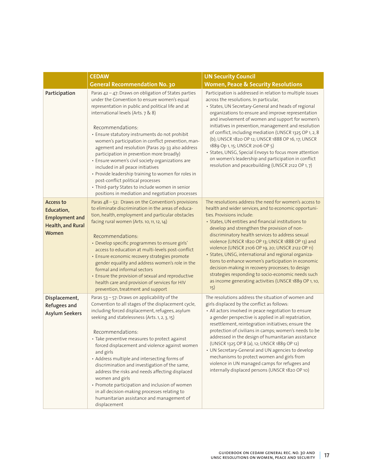|                                                                                       | <b>CEDAW</b>                                                                                                                                                                                                                                                                                                                                                                                                                                                                                                                                                                                                                                                                                                              | <b>UN Security Council</b>                                                                                                                                                                                                                                                                                                                                                                                                                                                                                                                                                                                                                                                                                |
|---------------------------------------------------------------------------------------|---------------------------------------------------------------------------------------------------------------------------------------------------------------------------------------------------------------------------------------------------------------------------------------------------------------------------------------------------------------------------------------------------------------------------------------------------------------------------------------------------------------------------------------------------------------------------------------------------------------------------------------------------------------------------------------------------------------------------|-----------------------------------------------------------------------------------------------------------------------------------------------------------------------------------------------------------------------------------------------------------------------------------------------------------------------------------------------------------------------------------------------------------------------------------------------------------------------------------------------------------------------------------------------------------------------------------------------------------------------------------------------------------------------------------------------------------|
|                                                                                       | <b>General Recommendation No. 30</b>                                                                                                                                                                                                                                                                                                                                                                                                                                                                                                                                                                                                                                                                                      | <b>Women, Peace &amp; Security Resolutions</b>                                                                                                                                                                                                                                                                                                                                                                                                                                                                                                                                                                                                                                                            |
| Participation                                                                         | Paras 42 - 47: Draws on obligation of States parties<br>under the Convention to ensure women's equal<br>representation in public and political life and at<br>international levels (Arts. 7 & 8)<br>Recommendations:<br>· Ensure statutory instruments do not prohibit<br>women's participation in conflict prevention, man-<br>agement and resolution (Paras 29-33 also address<br>participation in prevention more broadly)<br>· Ensure women's civil society organizations are<br>included in all peace initiatives<br>• Provide leadership training to women for roles in<br>post-conflict political processes<br>· Third-party States to include women in senior<br>positions in mediation and negotiation processes | Participation is addressed in relation to multiple issues<br>across the resolutions. In particular,<br>• States, UN Secretary-General and heads of regional<br>organizations to ensure and improve representation<br>and involvement of women and support for women's<br>initiatives in prevention, management and resolution<br>of conflict, including mediation (UNSCR 1325 OP 1, 2, 8<br>(b); UNSCR 1820 OP 12; UNSCR 1888 OP 16, 17; UNSCR<br>1889 Op 1, 15; UNSCR 2106 OP 5)<br>· States, UNSG, Special Envoys to focus more attention<br>on women's leadership and participation in conflict<br>resolution and peacebuilding (UNSCR 2122 OP 1, 7)                                                   |
| Access to<br>Education,<br><b>Employment and</b><br><b>Health, and Rural</b><br>Women | Paras 48 - 52: Draws on the Convention's provisions<br>to eliminate discrimination in the areas of educa-<br>tion, health, employment and particular obstacles<br>facing rural women (Arts. 10, 11, 12, 14)<br>Recommendations:<br>· Develop specific programmes to ensure girls'<br>access to education at multi-levels post-conflict<br>· Ensure economic recovery strategies promote<br>gender equality and address women's role in the<br>formal and informal sectors<br>• Ensure the provision of sexual and reproductive<br>health care and provision of services for HIV<br>prevention, treatment and support                                                                                                      | The resolutions address the need for women's access to<br>health and wider services, and to economic opportuni-<br>ties. Provisions include:<br>• States, UN entities and financial institutions to<br>develop and strengthen the provision of non-<br>discriminatory health services to address sexual<br>violence (UNSCR 1820 OP 13; UNSCR 1888 OP 13) and<br>violence (UNSCR 2106 OP 19, 20; UNSCR 2122 OP 11)<br>· States, UNSG, international and regional organiza-<br>tions to enhance women's participation in economic<br>decision-making in recovery processes; to design<br>strategies responding to socio-economic needs such<br>as income generating activities (UNSCR 1889 OP 1, 10,<br>15) |
| Displacement,<br>Refugees and<br><b>Asylum Seekers</b>                                | Paras $53 - 57$ : Draws on applicability of the<br>Convention to all stages of the displacement cycle,<br>including forced displacement, refugees, asylum<br>seeking and statelessness (Arts. 1, 2, 3, 15)<br>Recommendations:<br>• Take preventive measures to protect against<br>forced displacement and violence against women<br>and girls<br>• Address multiple and intersecting forms of<br>discrimination and investigation of the same,<br>address the risks and needs affecting displaced<br>women and girls<br>• Promote participation and inclusion of women<br>in all decision-making processes relating to<br>humanitarian assistance and management of<br>displacement                                      | The resolutions address the situation of women and<br>girls displaced by the conflict as follows:<br>• All actors involved in peace negotiation to ensure<br>a gender perspective is applied in all repatriation,<br>resettlement, reintegration initiatives; ensure the<br>protection of civilians in camps; women's needs to be<br>addressed in the design of humanitarian assistance<br>(UNSCR 1325 OP 8 (a), 12; UNSCR 1889 OP 12)<br>• UN Secretary-General and UN agencies to develop<br>mechanisms to protect women and girls from<br>violence in UN managed camps for refugees and<br>internally displaced persons (UNSCR 1820 OP 10)                                                             |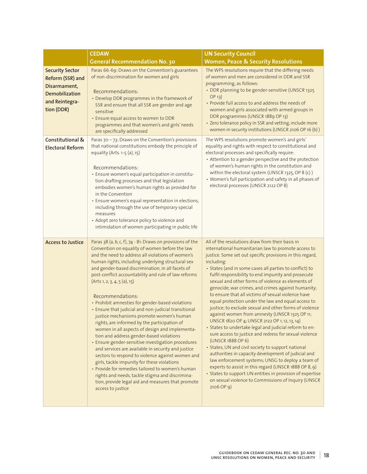|                                                                                                                     | <b>CEDAW</b>                                                                                                                                                                                                                                                                                                                                                                                                                                                                                                                                                                                                                                                                                                                                                                                                                                                                                                                                                                                                                                                                                  | <b>UN Security Council</b>                                                                                                                                                                                                                                                                                                                                                                                                                                                                                                                                                                                                                                                                                                                                                                                                                                                                                                                                                                                                                                                                                                                                                                     |
|---------------------------------------------------------------------------------------------------------------------|-----------------------------------------------------------------------------------------------------------------------------------------------------------------------------------------------------------------------------------------------------------------------------------------------------------------------------------------------------------------------------------------------------------------------------------------------------------------------------------------------------------------------------------------------------------------------------------------------------------------------------------------------------------------------------------------------------------------------------------------------------------------------------------------------------------------------------------------------------------------------------------------------------------------------------------------------------------------------------------------------------------------------------------------------------------------------------------------------|------------------------------------------------------------------------------------------------------------------------------------------------------------------------------------------------------------------------------------------------------------------------------------------------------------------------------------------------------------------------------------------------------------------------------------------------------------------------------------------------------------------------------------------------------------------------------------------------------------------------------------------------------------------------------------------------------------------------------------------------------------------------------------------------------------------------------------------------------------------------------------------------------------------------------------------------------------------------------------------------------------------------------------------------------------------------------------------------------------------------------------------------------------------------------------------------|
|                                                                                                                     | <b>General Recommendation No. 30</b>                                                                                                                                                                                                                                                                                                                                                                                                                                                                                                                                                                                                                                                                                                                                                                                                                                                                                                                                                                                                                                                          | <b>Women, Peace &amp; Security Resolutions</b>                                                                                                                                                                                                                                                                                                                                                                                                                                                                                                                                                                                                                                                                                                                                                                                                                                                                                                                                                                                                                                                                                                                                                 |
| <b>Security Sector</b><br>Reform (SSR) and<br>Disarmament,<br><b>Demobilization</b><br>and Reintegra-<br>tion (DDR) | Paras 66-69: Draws on the Convention's guarantees<br>of non-discrimination for women and girls<br>Recommendations:<br>• Develop DDR programmes in the framework of<br>SSR and ensure that all SSR are gender and age<br>sensitive<br>• Ensure equal access to women to DDR<br>programmes and that women's and girls' needs<br>are specifically addressed                                                                                                                                                                                                                                                                                                                                                                                                                                                                                                                                                                                                                                                                                                                                      | The WPS resolutions require that the differing needs<br>of women and men are considered in DDR and SSR<br>programming, as follows:<br>• DDR planning to be gender-sensitive (UNSCR 1325<br>$OP$ 13)<br>• Provide full access to and address the needs of<br>women and girls associated with armed groups in<br>DDR programmes (UNSCR 1889 OP 13)<br>· Zero tolerance policy in SSR and vetting, include more<br>women in security institutions (UNSCR 2106 OP 16 (b))                                                                                                                                                                                                                                                                                                                                                                                                                                                                                                                                                                                                                                                                                                                          |
| Constitutional &<br><b>Electoral Reform</b>                                                                         | Paras 70 - 73: Draws on the Convention's provisions<br>that national constitutions embody the principle of<br>equality (Arts. 1-5 (a), 15)<br>Recommendations:<br>· Ensure women's equal participation in constitu-<br>tion drafting processes and that legislation<br>embodies women's human rights as provided for<br>in the Convention<br>· Ensure women's equal representation in elections,<br>including through the use of temporary special<br>measures<br>• Adopt zero tolerance policy to violence and<br>intimidation of women participating in public life                                                                                                                                                                                                                                                                                                                                                                                                                                                                                                                         | The WPS resolutions promote women's and girls'<br>equality and rights with respect to constitutional and<br>electoral processes and specifically require:<br>• Attention to a gender perspective and the protection<br>of women's human rights in the constitution and<br>within the electoral system (UNSCR 1325, OP 8 (c))<br>• Women's full participation and safety in all phases of<br>electoral processes (UNSCR 2122 OP 8)                                                                                                                                                                                                                                                                                                                                                                                                                                                                                                                                                                                                                                                                                                                                                              |
| <b>Access to Justice</b>                                                                                            | Paras 38 (a, b, c, f), 74 - 81: Draws on provisions of the<br>Convention on equality of women before the law<br>and the need to address all violations of women's<br>human rights, including underlying structural sex<br>and gender-based discrimination, in all facets of<br>post-conflict accountability and rule of law reforms<br>(Arts 1, 2, 3, 4, 5 (a), 15)<br>Recommendations:<br>• Prohibit amnesties for gender-based violations<br>• Ensure that judicial and non-judicial transitional<br>justice mechanisms promote women's human<br>rights, are informed by the participation of<br>women in all aspects of design and implementa-<br>tion and address gender-based violations<br>· Ensure gender-sensitive investigation procedures<br>and services are available in security and justice<br>sectors to respond to violence against women and<br>girls, tackle impunity for these violations<br>• Provide for remedies tailored to women's human<br>rights and needs, tackle stigma and discrimina-<br>tion, provide legal aid and measures that promote<br>access to justice | All of the resolutions draw from their basis in<br>international humanitarian law to promote access to<br>justice. Some set out specific provisions in this regard,<br>including:<br>· States (and in some cases all parties to conflict) to<br>fulfil responsibility to end impunity and prosecute<br>sexual and other forms of violence as elements of<br>genocide, war crimes, and crimes against humanity;<br>to ensure that all victims of sexual violence have<br>equal protection under the law and equal access to<br>justice; to exclude sexual and other forms of violence<br>against women from amnesty (UNSCR 1325 OP 11;<br>UNSCR 1820 OP 4; UNSCR 2122 OP 1, 12, 13, 14)<br>• States to undertake legal and judicial reform to en-<br>sure access to justice and redress for sexual violence<br>(UNSCR 1888 OP 6)<br>• States, UN and civil society to support national<br>authorities in capacity development of judicial and<br>law enforcement systems; UNSG to deploy a team of<br>experts to assist in this regard (UNSCR 1888 OP 8, 9)<br>• States to support UN entities in provision of expertise<br>on sexual violence to Commissions of Inquiry (UNSCR<br>$2106$ OP 9) |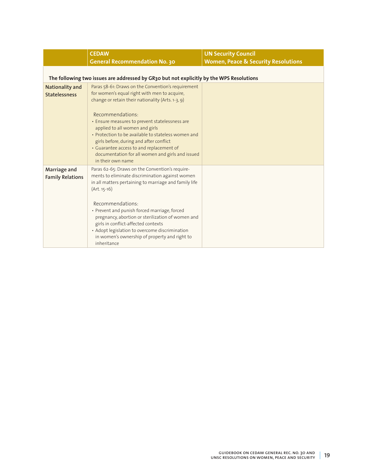|                         | <b>CEDAW</b>                                                                             | <b>UN Security Council</b>                     |
|-------------------------|------------------------------------------------------------------------------------------|------------------------------------------------|
|                         | <b>General Recommendation No. 30</b>                                                     | <b>Women, Peace &amp; Security Resolutions</b> |
|                         |                                                                                          |                                                |
|                         | The following two issues are addressed by GR30 but not explicitly by the WPS Resolutions |                                                |
| Nationality and         | Paras 58-61: Draws on the Convention's requirement                                       |                                                |
| <b>Statelessness</b>    | for women's equal right with men to acquire,                                             |                                                |
|                         | change or retain their nationality (Arts. 1-3, 9)                                        |                                                |
|                         |                                                                                          |                                                |
|                         | Recommendations:                                                                         |                                                |
|                         | • Ensure measures to prevent statelessness are<br>applied to all women and girls         |                                                |
|                         | • Protection to be available to stateless women and                                      |                                                |
|                         | girls before, during and after conflict                                                  |                                                |
|                         | • Guarantee access to and replacement of                                                 |                                                |
|                         | documentation for all women and girls and issued                                         |                                                |
|                         | in their own name                                                                        |                                                |
| Marriage and            | Paras 62-65: Draws on the Convention's require-                                          |                                                |
| <b>Family Relations</b> | ments to eliminate discrimination against women                                          |                                                |
|                         | in all matters pertaining to marriage and family life                                    |                                                |
|                         | $(Art. 15-16)$                                                                           |                                                |
|                         | Recommendations:                                                                         |                                                |
|                         | • Prevent and punish forced marriage, forced                                             |                                                |
|                         | pregnancy, abortion or sterilization of women and                                        |                                                |
|                         | girls in conflict-affected contexts                                                      |                                                |
|                         | • Adopt legislation to overcome discrimination                                           |                                                |
|                         | in women's ownership of property and right to                                            |                                                |
|                         | inheritance                                                                              |                                                |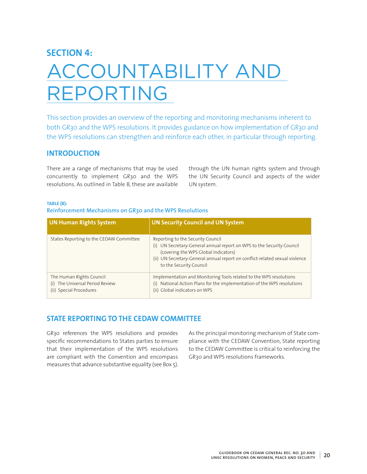## **SECTION 4:**

# ACCOUNTABILITY AND REPORTING

This section provides an overview of the reporting and monitoring mechanisms inherent to both GR30 and the WPS resolutions. It provides guidance on how implementation of GR30 and the WPS resolutions can strengthen and reinforce each other, in particular through reporting.

## **INTRODUCTION**

There are a range of mechanisms that may be used concurrently to implement GR30 and the WPS resolutions. As outlined in Table B, these are available through the UN human rights system and through the UN Security Council and aspects of the wider UN system.

#### **TABLE (B):**

## **Reinforcement Mechanisms on GR30 and the WPS Resolutions**

| <b>UN Human Rights System</b>                                                          | <b>UN Security Council and UN System</b>                                                                                                                                                                                                                     |
|----------------------------------------------------------------------------------------|--------------------------------------------------------------------------------------------------------------------------------------------------------------------------------------------------------------------------------------------------------------|
| States Reporting to the CEDAW Committee                                                | Reporting to the Security Council<br>(i) UN Secretary-General annual report on WPS to the Security Council<br>(covering the WPS Global Indicators)<br>(ii) UN Secretary-General annual report on conflict-related sexual violence<br>to the Security Council |
| The Human Rights Council<br>(i) The Universal Period Review<br>(ii) Special Procedures | Implementation and Monitoring Tools related to the WPS resolutions<br>National Action Plans for the implementation of the WPS resolutions<br>(i)<br>(ii) Global indicators on WPS                                                                            |

## **STATE REPORTING TO THE CEDAW COMMITTEE**

GR30 references the WPS resolutions and provides specific recommendations to States parties to ensure that their implementation of the WPS resolutions are compliant with the Convention and encompass measures that advance substantive equality (see Box 5).

As the principal monitoring mechanism of State compliance with the CEDAW Convention, State reporting to the CEDAW Committee is critical to reinforcing the GR30 and WPS resolutions frameworks.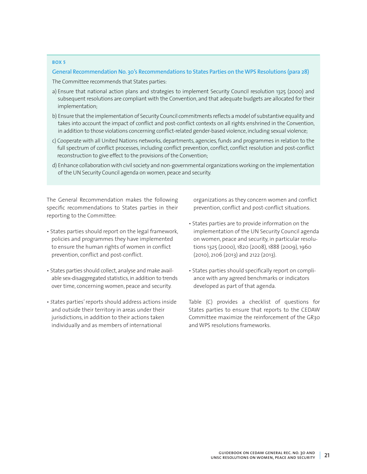#### **BOX 5**

#### **General Recommendation No. 30's Recommendations to States Parties on the WPS Resolutions (para 28)**

The Committee recommends that States parties:

- a) Ensure that national action plans and strategies to implement Security Council resolution 1325 (2000) and subsequent resolutions are compliant with the Convention, and that adequate budgets are allocated for their implementation;
- b) Ensure that the implementation of Security Council commitments reflects a model of substantive equality and takes into account the impact of conflict and post-conflict contexts on all rights enshrined in the Convention, in addition to those violations concerning conflict-related gender-based violence, including sexual violence;
- c) Cooperate with all United Nations networks, departments, agencies, funds and programmes in relation to the full spectrum of conflict processes, including conflict prevention, conflict, conflict resolution and post-conflict reconstruction to give effect to the provisions of the Convention;
- d) Enhance collaboration with civil society and non-governmental organizations working on the implementation of the UN Security Council agenda on women, peace and security.

The General Recommendation makes the following specific recommendations to States parties in their reporting to the Committee:

- States parties should report on the legal framework, policies and programmes they have implemented to ensure the human rights of women in conflict prevention, conflict and post-conflict.
- States parties should collect, analyse and make available sex-disaggregated statistics, in addition to trends over time, concerning women, peace and security.
- *S*tates parties' reports should address actions inside and outside their territory in areas under their jurisdictions, in addition to their actions taken individually and as members of international

organizations as they concern women and conflict prevention, conflict and post-conflict situations.

- States parties are to provide information on the implementation of the UN Security Council agenda on women, peace and security, in particular resolutions 1325 (2000), 1820 (2008), 1888 (2009), 1960 (2010), 2106 (2013) and 2122 (2013).
- States parties should specifically report on compliance with any agreed benchmarks or indicators developed as part of that agenda.

Table (C) provides a checklist of questions for States parties to ensure that reports to the CEDAW Committee maximize the reinforcement of the GR30 and WPS resolutions frameworks.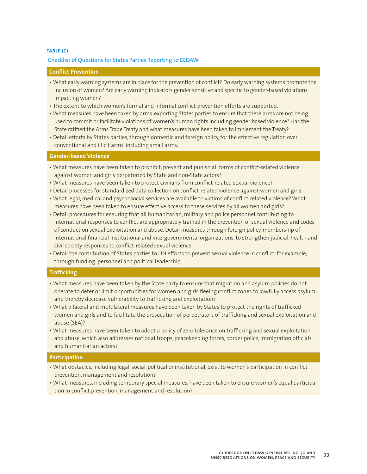## **TABLE (C): Checklist of Questions for States Parties Reporting to CEDAW**

## **Conflict Prevention**

- What early warning systems are in place for the prevention of conflict? Do early warning systems promote the inclusion of women? Are early warning indicators gender sensitive and specific to gender-based violations impacting women?
- The extent to which women's formal and informal conflict prevention efforts are supported.
- What measures have been taken by arms-exporting States parties to ensure that these arms are not being used to commit or facilitate violations of women's human rights including gender-based violence? Has the State ratified the Arms Trade Treaty and what measures have been taken to implement the Treaty?
- Detail efforts by States parties, through domestic and foreign policy, for the effective regulation over conventional and illicit arms, including small arms.

## **Gender-based Violence**

- What measures have been taken to prohibit, prevent and punish all forms of conflict-related violence against women and girls perpetrated by State and non-State actors?
- What measures have been taken to protect civilians from conflict-related sexual violence?
- Detail processes for standardized data collection on conflict-related violence against women and girls.
- What legal, medical and psychosocial services are available to victims of conflict-related violence? What measures have been taken to ensure effective access to these services by all women and girls?
- Detail procedures for ensuring that all humanitarian, military and police personnel contributing to international responses to conflict are appropriately trained in the prevention of sexual violence and codes of conduct on sexual exploitation and abuse. Detail measures through foreign policy, membership of international financial institutional and intergovernmental organizations, to strengthen judicial, health and civil society responses to conflict-related sexual violence.
- Detail the contribution of States parties to UN efforts to prevent sexual violence in conflict, for example, through funding, personnel and political leadership.

## **Trafficking**

- What measures have been taken by the State party to ensure that migration and asylum policies do not operate to deter or limit opportunities for women and girls fleeing conflict zones to lawfully access asylum, and thereby decrease vulnerability to trafficking and exploitation?
- What bilateral and multilateral measures have been taken by States to protect the rights of trafficked women and girls and to facilitate the prosecution of perpetrators of trafficking and sexual exploitation and abuse (SEA)?
- What measures have been taken to adopt a policy of zero tolerance on trafficking and sexual exploitation and abuse, which also addresses national troops, peacekeeping forces, border police, immigration officials and humanitarian actors?

## **Participation**

- What obstacles, including legal, social, political or institutional, exist to women's participation in conflict prevention, management and resolution?
- What measures, including temporary special measures, have been taken to ensure women's equal participation in conflict prevention, management and resolution?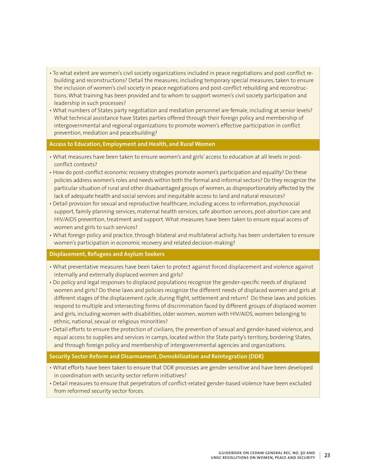- To what extent are women's civil society organizations included in peace negotiations and post-conflict rebuilding and reconstructions? Detail the measures, including temporary special measures, taken to ensure the inclusion of women's civil society in peace negotiations and post-conflict rebuilding and reconstructions. What training has been provided and to whom to support women's civil society participation and leadership in such processes?
- What numbers of States party negotiation and mediation personnel are female, including at senior levels? What technical assistance have States parties offered through their foreign policy and membership of intergovernmental and regional organizations to promote women's effective participation in conflict prevention, mediation and peacebuilding?

## **Access to Education, Employment and Health, and Rural Women**

- What measures have been taken to ensure women's and girls' access to education at all levels in postconflict contexts?
- How do post-conflict economic recovery strategies promote women's participation and equality? Do these policies address women's roles and needs within both the formal and informal sectors? Do they recognize the particular situation of rural and other disadvantaged groups of women, as disproportionately affected by the lack of adequate health and social services and inequitable access to land and natural resources?
- Detail provision for sexual and reproductive healthcare, including access to information, psychosocial support, family planning services, maternal health services, safe abortion services, post-abortion care and HIV/AIDS prevention, treatment and support. What measures have been taken to ensure equal access of women and girls to such services?
- What foreign policy and practice, through bilateral and multilateral activity, has been undertaken to ensure women's participation in economic recovery and related decision-making?

## **Displacement, Refugees and Asylum Seekers**

- What preventative measures have been taken to protect against forced displacement and violence against internally and externally displaced women and girls?
- Do policy and legal responses to displaced populations recognize the gender-specific needs of displaced women and girls? Do these laws and policies recognize the different needs of displaced women and girls at different stages of the displacement cycle, during flight, settlement and return? Do these laws and policies respond to multiple and intersecting forms of discrimination faced by different groups of displaced women and girls, including women with disabilities, older women, women with HIV/AIDS, women belonging to ethnic, national, sexual or religious minorities?
- Detail efforts to ensure the protection of civilians, the prevention of sexual and gender-based violence, and equal access to supplies and services in camps, located within the State party's territory, bordering States, and through foreign policy and membership of intergovernmental agencies and organizations.

## **Security Sector Reform and Disarmament, Demobilization and Reintegration (DDR)**

- What efforts have been taken to ensure that DDR processes are gender sensitive and have been developed in coordination with security sector reform initiatives?
- Detail measures to ensure that perpetrators of conflict-related gender-based violence have been excluded from reformed security sector forces.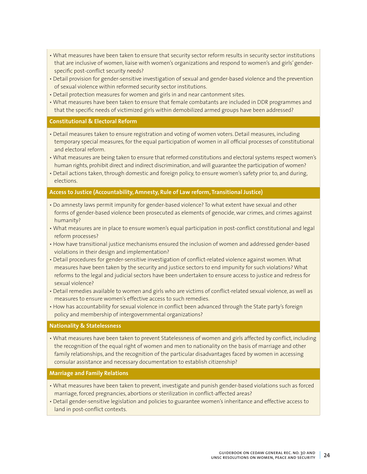- What measures have been taken to ensure that security sector reform results in security sector institutions that are inclusive of women, liaise with women's organizations and respond to women's and girls' genderspecific post-conflict security needs?
- Detail provision for gender-sensitive investigation of sexual and gender-based violence and the prevention of sexual violence within reformed security sector institutions.
- Detail protection measures for women and girls in and near cantonment sites.
- What measures have been taken to ensure that female combatants are included in DDR programmes and that the specific needs of victimized girls within demobilized armed groups have been addressed?

### **Constitutional & Electoral Reform**

- Detail measures taken to ensure registration and voting of women voters. Detail measures, including temporary special measures, for the equal participation of women in all official processes of constitutional and electoral reform.
- What measures are being taken to ensure that reformed constitutions and electoral systems respect women's human rights, prohibit direct and indirect discrimination, and will guarantee the participation of women?
- Detail actions taken, through domestic and foreign policy, to ensure women's safety prior to, and during, elections.

## **Access to Justice (Accountability, Amnesty, Rule of Law reform, Transitional Justice)**

- Do amnesty laws permit impunity for gender-based violence? To what extent have sexual and other forms of gender-based violence been prosecuted as elements of genocide, war crimes, and crimes against humanity?
- What measures are in place to ensure women's equal participation in post-conflict constitutional and legal reform processes?
- How have transitional justice mechanisms ensured the inclusion of women and addressed gender-based violations in their design and implementation?
- Detail procedures for gender-sensitive investigation of conflict-related violence against women. What measures have been taken by the security and justice sectors to end impunity for such violations? What reforms to the legal and judicial sectors have been undertaken to ensure access to justice and redress for sexual violence?
- Detail remedies available to women and girls who are victims of conflict-related sexual violence, as well as measures to ensure women's effective access to such remedies.
- How has accountability for sexual violence in conflict been advanced through the State party's foreign policy and membership of intergovernmental organizations?

#### **Nationality & Statelessness**

• What measures have been taken to prevent Statelessness of women and girls affected by conflict, including the recognition of the equal right of women and men to nationality on the basis of marriage and other family relationships, and the recognition of the particular disadvantages faced by women in accessing consular assistance and necessary documentation to establish citizenship?

## **Marriage and Family Relations**

- What measures have been taken to prevent, investigate and punish gender-based violations such as forced marriage, forced pregnancies, abortions or sterilization in conflict-affected areas?
- Detail gender-sensitive legislation and policies to guarantee women's inheritance and effective access to land in post-conflict contexts.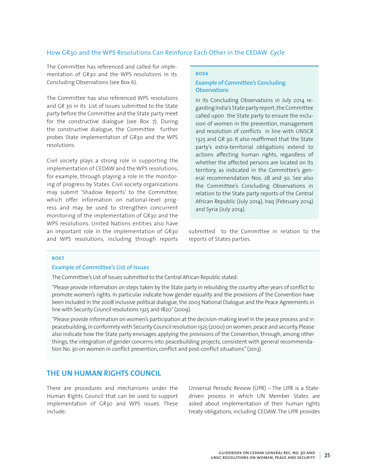## How GR30 and the WPS Resolutions Can Reinforce Each Other in the CEDAW Cycle

The Committee has referenced and called for implementation of GR30 and the WPS resolutions in its Concluding Observations (see Box 6).

The Committee has also referenced WPS resolutions and GR 30 in its List of Issues submitted to the State party before the Committee and the State party meet for the constructive dialogue (see Box 7). During the constructive dialogue, the Committee further probes State implementation of GR30 and the WPS resolutions.

Civil society plays a strong role in supporting the implementation of CEDAW and the WPS resolutions, for example, through playing a role in the monitoring of progress by States. Civil society organizations may submit 'Shadow Reports' to the Committee, which offer information on national-level progress and may be used to strengthen concurrent monitoring of the implementation of GR30 and the WPS resolutions. United Nations entities also have an important role in the implementation of GR30 and WPS resolutions, including through reports

#### **BOX6**

## **Example of Committee's Concluding Observations**

In its Concluding Observations in July 2014 regarding India's State party report, the Committee called upon the State party to ensure the inclusion of women in the prevention, management and resolution of conflicts in line with UNSCR 1325 and GR 30. It also reaffirmed that the State party's extra-territorial obligations extend to actions affecting human rights, regardless of whether the affected persons are located on its territory, as indicated in the Committee's general recommendation Nos. 28 and 30. See also the Committee's Concluding Observations in relation to the State party reports of the Central African Republic (July 2014), Iraq (February 2014) and Syria (July 2014).

submitted to the Committee in relation to the reports of States parties.

#### **BOX7**

#### **Example of Committee's List of Issues**

The Committee's List of Issues submitted to the Central African Republic stated:

"Please provide information on steps taken by the State party in rebuilding the country after years of conflict to promote women's rights. In particular indicate how gender equality and the provisions of the Convention have been included in the 2008 inclusive political dialogue, the 2003 National Dialogue and the Peace Agreements in line with Security Council resolutions 1325 and 1820" (2009).

"Please provide information on women's participation at the decision-making level in the peace process and in peacebuilding, in conformity with Security Council resolution [1325 \(2000\)](http://undocs.org/S/RES/1325(2000)) on women, peace and security. Please also indicate how the State party envisages applying the provisions of the Convention, through, among other things, the integration of gender concerns into peacebuilding projects, consistent with general recommendation No. 30 on women in conflict prevention, conflict and post-conflict situations" (2013).

## **THE UN HUMAN RIGHTS COUNCIL**

There are procedures and mechanisms under the Human Rights Council that can be used to support implementation of GR30 and WPS issues. These include:

Universal Periodic Review (UPR) – The UPR is a Statedriven process in which UN Member States are asked about implementation of their human rights treaty obligations, including CEDAW. The UPR provides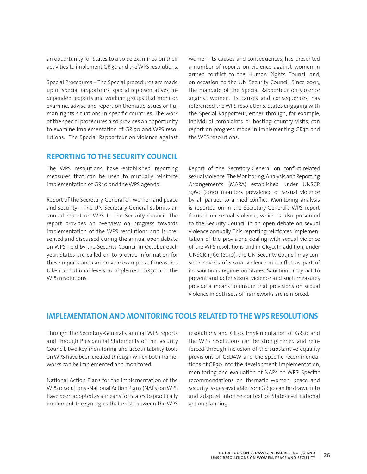an opportunity for States to also be examined on their activities to implement GR 30 and the WPS resolutions.

Special Procedures – The Special procedures are made up of special rapporteurs, special representatives, independent experts and working groups that monitor, examine, advise and report on thematic issues or human rights situations in specific countries. The work of the special procedures also provides an opportunity to examine implementation of GR 30 and WPS resolutions. The Special Rapporteur on violence against

## **REPORTING TO THE SECURITY COUNCIL**

The WPS resolutions have established reporting measures that can be used to mutually reinforce implementation of GR30 and the WPS agenda:

Report of the Secretary-General on women and peace and security – The UN Secretary-General submits an annual report on WPS to the Security Council. The report provides an overview on progress towards implementation of the WPS resolutions and is presented and discussed during the annual open debate on WPS held by the Security Council in October each year. States are called on to provide information for these reports and can provide examples of measures taken at national levels to implement GR30 and the WPS resolutions.

women, its causes and consequences, has presented a number of reports on violence against women in armed conflict to the Human Rights Council and, on occasion, to the UN Security Council. Since 2003, the mandate of the Special Rapporteur on violence against women, its causes and consequences, has referenced the WPS resolutions. States engaging with the Special Rapporteur, either through, for example, individual complaints or hosting country visits, can report on progress made in implementing GR30 and the WPS resolutions.

Report of the Secretary-General on conflict-related sexual violence -The Monitoring, Analysis and Reporting Arrangements (MARA) established under UNSCR 1960 (2010) monitors prevalence of sexual violence by all parties to armed conflict. Monitoring analysis is reported on in the Secretary-General's WPS report focused on sexual violence, which is also presented to the Security Council in an open debate on sexual violence annually. This reporting reinforces implementation of the provisions dealing with sexual violence of the WPS resolutions and in GR30. In addition, under UNSCR 1960 (2010), the UN Security Council may consider reports of sexual violence in conflict as part of its sanctions regime on States. Sanctions may act to prevent and deter sexual violence and such measures provide a means to ensure that provisions on sexual violence in both sets of frameworks are reinforced.

## **IMPLEMENTATION AND MONITORING TOOLS RELATED TO THE WPS RESOLUTIONS**

Through the Secretary-General's annual WPS reports and through Presidential Statements of the Security Council, two key monitoring and accountability tools on WPS have been created through which both frameworks can be implemented and monitored:

National Action Plans for the implementation of the WPS resolutions -National Action Plans (NAPs) on WPS have been adopted as a means for States to practically implement the synergies that exist between the WPS

resolutions and GR30. Implementation of GR30 and the WPS resolutions can be strengthened and reinforced through inclusion of the substantive equality provisions of CEDAW and the specific recommendations of GR30 into the development, implementation, monitoring and evaluation of NAPs on WPS. Specific recommendations on thematic women, peace and security issues available from GR30 can be drawn into and adapted into the context of State-level national action planning.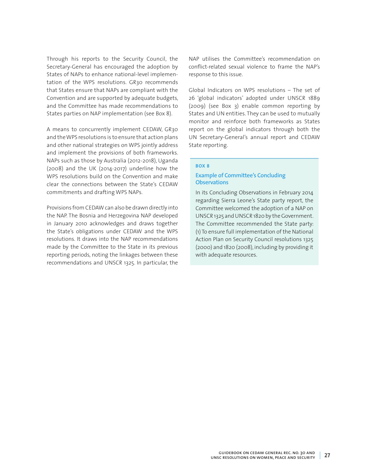Through his reports to the Security Council, the Secretary-General has encouraged the adoption by States of NAPs to enhance national-level implementation of the WPS resolutions. GR30 recommends that States ensure that NAPs are compliant with the Convention and are supported by adequate budgets, and the Committee has made recommendations to States parties on NAP implementation (see Box 8).

A means to concurrently implement CEDAW, GR30 and the WPS resolutions is to ensure that action plans and other national strategies on WPS jointly address and implement the provisions of both frameworks. NAPs such as those by Australia (2012-2018), Uganda (2008) and the UK (2014-2017) underline how the WPS resolutions build on the Convention and make clear the connections between the State's CEDAW commitments and drafting WPS NAPs.

Provisions from CEDAW can also be drawn directly into the NAP. The Bosnia and Herzegovina NAP developed in January 2010 acknowledges and draws together the State's obligations under CEDAW and the WPS resolutions. It draws into the NAP recommendations made by the Committee to the State in its previous reporting periods, noting the linkages between these recommendations and UNSCR 1325. In particular, the NAP utilises the Committee's recommendation on conflict-related sexual violence to frame the NAP's response to this issue.

Global Indicators on WPS resolutions – The set of 26 'global indicators' adopted under UNSCR 1889 (2009) (see Box 3) enable common reporting by States and UN entities. They can be used to mutually monitor and reinforce both frameworks as States report on the global indicators through both the UN Secretary-General's annual report and CEDAW State reporting.

#### **BOX 8**

## **Example of Committee's Concluding Observations**

In its Concluding Observations in February 2014 regarding Sierra Leone's State party report, the Committee welcomed the adoption of a NAP on UNSCR 1325 and UNSCR 1820 by the Government. The Committee recommended the State party: (1) To ensure full implementation of the National Action Plan on Security Council resolutions 1325 (2000) and 1820 (2008), including by providing it with adequate resources.